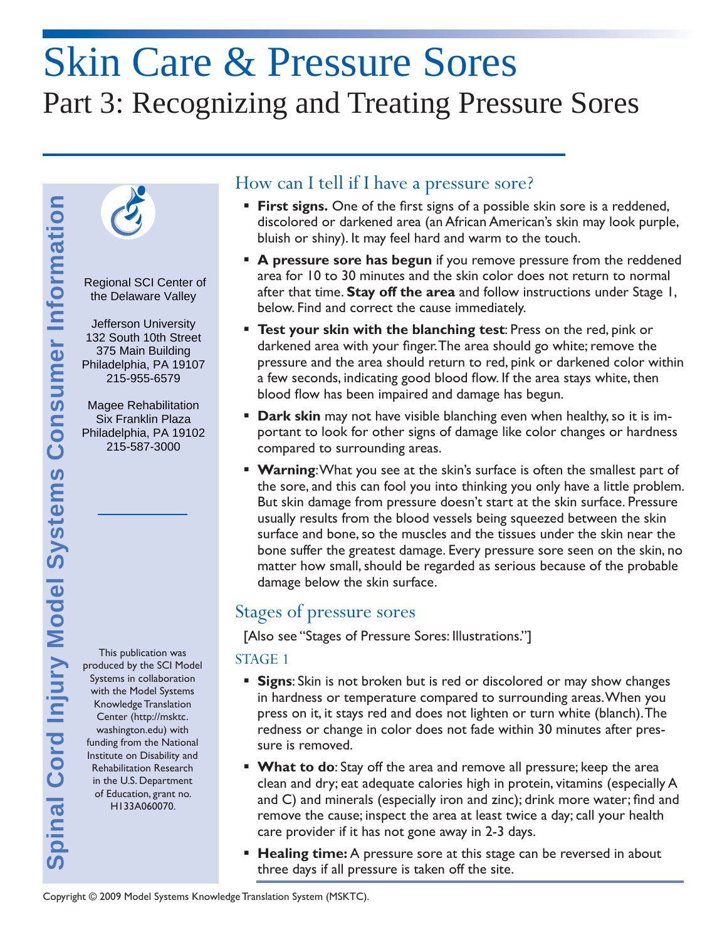# Skin Care & Pressure Sores Part 3: Recognizing and Treating Pressure Sores



 Regional SCI Center of the Delaware Valley

 132 South 10th Street Jefferson University 375 Main Building Philadelphia, PA 19107 215-955-6579

Magee Rehabilitation Six Franklin Plaza Philadelphia, PA 19102 215-587-3000

This publication was produced by the SCI Model Systems in collaboration with the Model Systems Knowledge Translation Center (http://msktc. washington.edu) with funding from the National Institute on Disability and Rehabilitation Research in the U.S. Department of Education, grant no. H133A060070.

## How can I tell if I have a pressure sore?

- **First signs.** One of the first signs of a possible skin sore is a reddened, discolored or darkened area (an African American's skin may look purple, bluish or shiny). It may feel hard and warm to the touch.
- **A pressure sore has begun** if you remove pressure from the reddened area for 10 to 30 minutes and the skin color does not return to normal after that time. **Stay off the area** and follow instructions under Stage 1, below. Find and correct the cause immediately.
- **Test your skin with the blanching test**: Press on the red, pink or darkened area with your finger. The area should go white; remove the pressure and the area should return to red, pink or darkened color within a few seconds, indicating good blood flow. If the area stays white, then blood flow has been impaired and damage has begun.
- **Dark skin** may not have visible blanching even when healthy, so it is important to look for other signs of damage like color changes or hardness compared to surrounding areas.
- **Warning:** What you see at the skin's surface is often the smallest part of the sore, and this can fool you into thinking you only have a little problem. But skin damage from pressure doesn't start at the skin surface. Pressure usually results from the blood vessels being squeezed between the skin surface and bone, so the muscles and the tissues under the skin near the bone suffer the greatest damage. Every pressure sore seen on the skin, no matter how small, should be regarded as serious because of the probable damage below the skin surface.

# Stages of pressure sores

[Also see "Stages of Pressure Sores: Illustrations."]

#### STAGE 1

- **Signs**: Skin is not broken but is red or discolored or may show changes in hardness or temperature compared to surrounding areas. When you press on it, it stays red and does not lighten or turn white (blanch). The redness or change in color does not fade within 30 minutes after pressure is removed.
- **What to do:** Stay off the area and remove all pressure; keep the area clean and dry; eat adequate calories high in protein, vitamins (especially A and C) and minerals (especially iron and zinc); drink more water; find and remove the cause; inspect the area at least twice a day; call your health care provider if it has not gone away in 2-3 days.
- **Healing time:** A pressure sore at this stage can be reversed in about three days if all pressure is taken off the site.